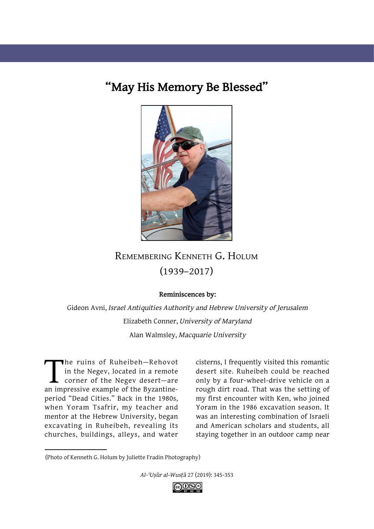## **"May His Memory Be Blessed"**



## Remembering Kenneth G. Holum (1939–2017)

## **Reminiscences by:**

Gideon Avni, *Israel Antiquities Authority and Hebrew University of Jerusalem*  Elizabeth Conner, *University of Maryland* Alan Walmsley, *Macquarie University*

The ruins of Ruheibeh—Rehovot<br>in the Negev, located in a remote<br>corner of the Negev desert—are<br>an impressive example of the Byzantinein the Negev, located in a remote corner of the Negev desert—are period "Dead Cities." Back in the 1980s, when Yoram Tsafrir, my teacher and mentor at the Hebrew University, began excavating in Ruheibeh, revealing its churches, buildings, alleys, and water

cisterns, I frequently visited this romantic desert site. Ruheibeh could be reached only by a four-wheel-drive vehicle on a rough dirt road. That was the setting of my first encounter with Ken, who joined Yoram in the 1986 excavation season. It was an interesting combination of Israeli and American scholars and students, all staying together in an outdoor camp near

*Al-ʿUṣūr al-Wusṭā* 27 (2019): 345-353



<sup>(</sup>Photo of Kenneth G. Holum by Juliette Fradin Photography)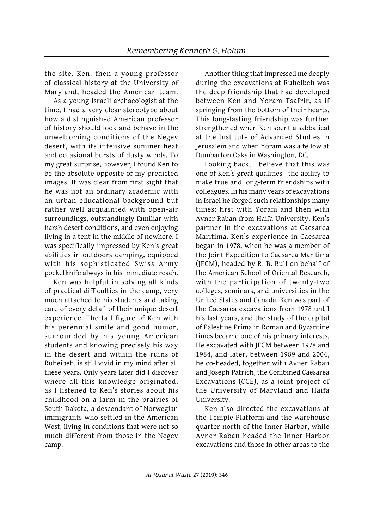the site. Ken, then a young professor of classical history at the University of Maryland, headed the American team.

As a young Israeli archaeologist at the time, I had a very clear stereotype about how a distinguished American professor of history should look and behave in the unwelcoming conditions of the Negev desert, with its intensive summer heat and occasional bursts of dusty winds. To my great surprise, however, I found Ken to be the absolute opposite of my predicted images. It was clear from first sight that he was not an ordinary academic with an urban educational background but rather well acquainted with open-air surroundings, outstandingly familiar with harsh desert conditions, and even enjoying living in a tent in the middle of nowhere. I was specifically impressed by Ken's great abilities in outdoors camping, equipped with his sophisticated Swiss Army pocketknife always in his immediate reach.

Ken was helpful in solving all kinds of practical difficulties in the camp, very much attached to his students and taking care of every detail of their unique desert experience. The tall figure of Ken with his perennial smile and good humor, surrounded by his young American students and knowing precisely his way in the desert and within the ruins of Ruheibeh, is still vivid in my mind after all these years. Only years later did I discover where all this knowledge originated, as I listened to Ken's stories about his childhood on a farm in the prairies of South Dakota, a descendant of Norwegian immigrants who settled in the American West, living in conditions that were not so much different from those in the Negev camp.

Another thing that impressed me deeply during the excavations at Ruheibeh was the deep friendship that had developed between Ken and Yoram Tsafrir, as if springing from the bottom of their hearts. This long-lasting friendship was further strengthened when Ken spent a sabbatical at the Institute of Advanced Studies in Jerusalem and when Yoram was a fellow at Dumbarton Oaks in Washington, DC.

Looking back, I believe that this was one of Ken's great qualities—the ability to make true and long-term friendships with colleagues. In his many years of excavations in Israel he forged such relationships many times: first with Yoram and then with Avner Raban from Haifa University, Ken's partner in the excavations at Caesarea Maritima. Ken's experience in Caesarea began in 1978, when he was a member of the Joint Expedition to Caesarea Maritima (JECM), headed by R. B. Bull on behalf of the American School of Oriental Research, with the participation of twenty-two colleges, seminars, and universities in the United States and Canada. Ken was part of the Caesarea excavations from 1978 until his last years, and the study of the capital of Palestine Prima in Roman and Byzantine times became one of his primary interests. He excavated with JECM between 1978 and 1984, and later, between 1989 and 2004, he co-headed, together with Avner Raban and Joseph Patrich, the Combined Caesarea Excavations (CCE), as a joint project of the University of Maryland and Haifa University.

Ken also directed the excavations at the Temple Platform and the warehouse quarter north of the Inner Harbor, while Avner Raban headed the Inner Harbor excavations and those in other areas to the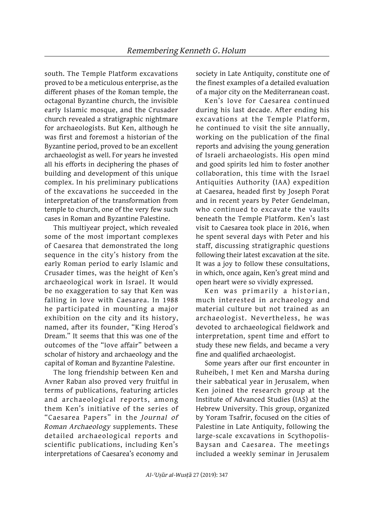south. The Temple Platform excavations proved to be a meticulous enterprise, as the different phases of the Roman temple, the octagonal Byzantine church, the invisible early Islamic mosque, and the Crusader church revealed a stratigraphic nightmare for archaeologists. But Ken, although he was first and foremost a historian of the Byzantine period, proved to be an excellent archaeologist as well. For years he invested all his efforts in deciphering the phases of building and development of this unique complex. In his preliminary publications of the excavations he succeeded in the interpretation of the transformation from temple to church, one of the very few such cases in Roman and Byzantine Palestine.

This multiyear project, which revealed some of the most important complexes of Caesarea that demonstrated the long sequence in the city's history from the early Roman period to early Islamic and Crusader times, was the height of Ken's archaeological work in Israel. It would be no exaggeration to say that Ken was falling in love with Caesarea. In 1988 he participated in mounting a major exhibition on the city and its history, named, after its founder, "King Herod's Dream." It seems that this was one of the outcomes of the "love affair" between a scholar of history and archaeology and the capital of Roman and Byzantine Palestine.

The long friendship between Ken and Avner Raban also proved very fruitful in terms of publications, featuring articles and archaeological reports, among them Ken's initiative of the series of "Caesarea Papers" in the *Journal of Roman Archaeology* supplements. These detailed archaeological reports and scientific publications, including Ken's interpretations of Caesarea's economy and society in Late Antiquity, constitute one of the finest examples of a detailed evaluation of a major city on the Mediterranean coast.

Ken's love for Caesarea continued during his last decade. After ending his excavations at the Temple Platform, he continued to visit the site annually, working on the publication of the final reports and advising the young generation of Israeli archaeologists. His open mind and good spirits led him to foster another collaboration, this time with the Israel Antiquities Authority (IAA) expedition at Caesarea, headed first by Joseph Porat and in recent years by Peter Gendelman, who continued to excavate the vaults beneath the Temple Platform. Ken's last visit to Caesarea took place in 2016, when he spent several days with Peter and his staff, discussing stratigraphic questions following their latest excavation at the site. It was a joy to follow these consultations, in which, once again, Ken's great mind and open heart were so vividly expressed.

Ken was primarily a historian, much interested in archaeology and material culture but not trained as an archaeologist. Nevertheless, he was devoted to archaeological fieldwork and interpretation, spent time and effort to study these new fields, and became a very fine and qualified archaeologist.

Some years after our first encounter in Ruheibeh, I met Ken and Marsha during their sabbatical year in Jerusalem, when Ken joined the research group at the Institute of Advanced Studies (IAS) at the Hebrew University. This group, organized by Yoram Tsafrir, focused on the cities of Palestine in Late Antiquity, following the large-scale excavations in Scythopolis-Baysan and Caesarea. The meetings included a weekly seminar in Jerusalem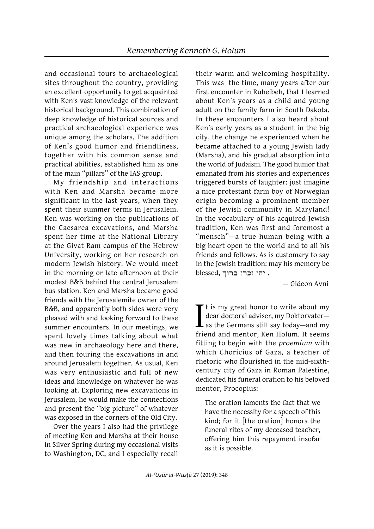and occasional tours to archaeological sites throughout the country, providing an excellent opportunity to get acquainted with Ken's vast knowledge of the relevant historical background. This combination of deep knowledge of historical sources and practical archaeological experience was unique among the scholars. The addition of Ken's good humor and friendliness, together with his common sense and practical abilities, established him as one of the main "pillars" of the IAS group.

My friendship and interactions with Ken and Marsha became more significant in the last years, when they spent their summer terms in Jerusalem. Ken was working on the publications of the Caesarea excavations, and Marsha spent her time at the National Library at the Givat Ram campus of the Hebrew University, working on her research on modern Jewish history. We would meet in the morning or late afternoon at their modest B&B behind the central Jerusalem bus station. Ken and Marsha became good friends with the Jerusalemite owner of the B&B, and apparently both sides were very pleased with and looking forward to these summer encounters. In our meetings, we spent lovely times talking about what was new in archaeology here and there, and then touring the excavations in and around Jerusalem together. As usual, Ken was very enthusiastic and full of new ideas and knowledge on whatever he was looking at. Exploring new excavations in Jerusalem, he would make the connections and present the "big picture" of whatever was exposed in the corners of the Old City.

Over the years I also had the privilege of meeting Ken and Marsha at their house in Silver Spring during my occasional visits to Washington, DC, and I especially recall their warm and welcoming hospitality. This was the time, many years after our first encounter in Ruheibeh, that I learned about Ken's years as a child and young adult on the family farm in South Dakota. In these encounters I also heard about Ken's early years as a student in the big city, the change he experienced when he became attached to a young Jewish lady (Marsha), and his gradual absorption into the world of Judaism. The good humor that emanated from his stories and experiences triggered bursts of laughter: just imagine a nice protestant farm boy of Norwegian origin becoming a prominent member of the Jewish community in Maryland! In the vocabulary of his acquired Jewish tradition, Ken was first and foremost a "mensch"—a true human being with a big heart open to the world and to all his friends and fellows. As is customary to say in the Jewish tradition: may his memory be blessed, . יהי זכרו ברוך

— Gideon Avni

I<sub>frie</sub>  $\blacktriangleright$  t is my great honor to write about my dear doctoral adviser, my Doktorvater as the Germans still say today—and my friend and mentor, Ken Holum. It seems fitting to begin with the *proemium* with which Choricius of Gaza, a teacher of rhetoric who flourished in the mid-sixthcentury city of Gaza in Roman Palestine, dedicated his funeral oration to his beloved mentor, Procopius:

The oration laments the fact that we have the necessity for a speech of this kind; for it [the oration] honors the funeral rites of my deceased teacher, offering him this repayment insofar as it is possible.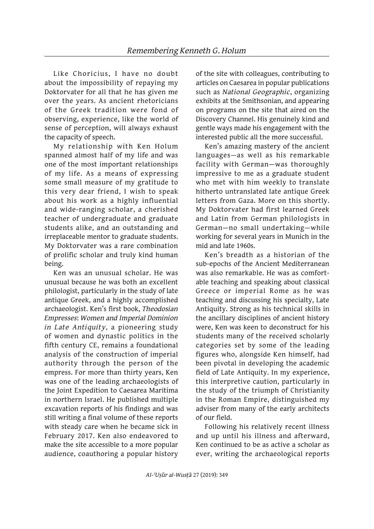Like Choricius, I have no doubt about the impossibility of repaying my Doktorvater for all that he has given me over the years. As ancient rhetoricians of the Greek tradition were fond of observing, experience, like the world of sense of perception, will always exhaust the capacity of speech.

My relationship with Ken Holum spanned almost half of my life and was one of the most important relationships of my life. As a means of expressing some small measure of my gratitude to this very dear friend, I wish to speak about his work as a highly influential and wide-ranging scholar, a cherished teacher of undergraduate and graduate students alike, and an outstanding and irreplaceable mentor to graduate students. My Doktorvater was a rare combination of prolific scholar and truly kind human being.

Ken was an unusual scholar. He was unusual because he was both an excellent philologist, particularly in the study of late antique Greek, and a highly accomplished archaeologist. Ken's first book, *Theodosian Empresses*: *Women and Imperial Dominion in Late Antiquity*, a pioneering study of women and dynastic politics in the fifth century CE, remains a foundational analysis of the construction of imperial authority through the person of the empress. For more than thirty years, Ken was one of the leading archaeologists of the Joint Expedition to Caesarea Maritima in northern Israel. He published multiple excavation reports of his findings and was still writing a final volume of these reports with steady care when he became sick in February 2017. Ken also endeavored to make the site accessible to a more popular audience, coauthoring a popular history of the site with colleagues, contributing to articles on Caesarea in popular publications such as *National Geographic*, organizing exhibits at the Smithsonian, and appearing on programs on the site that aired on the Discovery Channel. His genuinely kind and gentle ways made his engagement with the interested public all the more successful.

Ken's amazing mastery of the ancient languages—as well as his remarkable facility with German—was thoroughly impressive to me as a graduate student who met with him weekly to translate hitherto untranslated late antique Greek letters from Gaza. More on this shortly. My Doktorvater had first learned Greek and Latin from German philologists in German—no small undertaking—while working for several years in Munich in the mid and late 1960s.

Ken's breadth as a historian of the sub-epochs of the Ancient Mediterranean was also remarkable. He was as comfortable teaching and speaking about classical Greece or imperial Rome as he was teaching and discussing his specialty, Late Antiquity. Strong as his technical skills in the ancillary disciplines of ancient history were, Ken was keen to deconstruct for his students many of the received scholarly categories set by some of the leading figures who, alongside Ken himself, had been pivotal in developing the academic field of Late Antiquity. In my experience, this interpretive caution, particularly in the study of the triumph of Christianity in the Roman Empire, distinguished my adviser from many of the early architects of our field.

Following his relatively recent illness and up until his illness and afterward, Ken continued to be as active a scholar as ever, writing the archaeological reports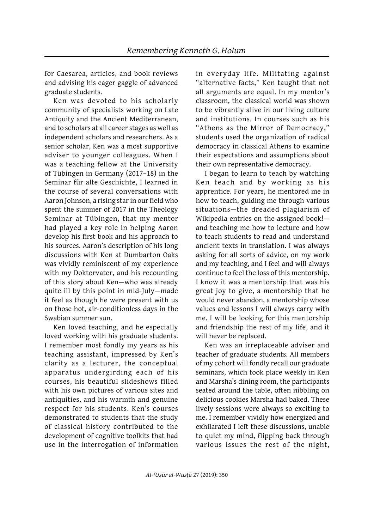for Caesarea, articles, and book reviews and advising his eager gaggle of advanced graduate students.

Ken was devoted to his scholarly community of specialists working on Late Antiquity and the Ancient Mediterranean, and to scholars at all career stages as well as independent scholars and researchers. As a senior scholar, Ken was a most supportive adviser to younger colleagues. When I was a teaching fellow at the University of Tübingen in Germany (2017–18) in the Seminar für alte Geschichte, I learned in the course of several conversations with Aaron Johnson, a rising star in our field who spent the summer of 2017 in the Theology Seminar at Tübingen, that my mentor had played a key role in helping Aaron develop his first book and his approach to his sources. Aaron's description of his long discussions with Ken at Dumbarton Oaks was vividly reminiscent of my experience with my Doktorvater, and his recounting of this story about Ken—who was already quite ill by this point in mid-July—made it feel as though he were present with us on those hot, air-conditionless days in the Swabian summer sun.

Ken loved teaching, and he especially loved working with his graduate students. I remember most fondly my years as his teaching assistant, impressed by Ken's clarity as a lecturer, the conceptual apparatus undergirding each of his courses, his beautiful slideshows filled with his own pictures of various sites and antiquities, and his warmth and genuine respect for his students. Ken's courses demonstrated to students that the study of classical history contributed to the development of cognitive toolkits that had use in the interrogation of information in everyday life. Militating against "alternative facts," Ken taught that not all arguments are equal. In my mentor's classroom, the classical world was shown to be vibrantly alive in our living culture and institutions. In courses such as his "Athens as the Mirror of Democracy," students used the organization of radical democracy in classical Athens to examine their expectations and assumptions about their own representative democracy.

I began to learn to teach by watching Ken teach and by working as his apprentice. For years, he mentored me in how to teach, guiding me through various situations—the dreaded plagiarism of Wikipedia entries on the assigned book! and teaching me how to lecture and how to teach students to read and understand ancient texts in translation. I was always asking for all sorts of advice, on my work and my teaching, and I feel and will always continue to feel the loss of this mentorship. I know it was a mentorship that was his great joy to give, a mentorship that he would never abandon, a mentorship whose values and lessons I will always carry with me. I will be looking for this mentorship and friendship the rest of my life, and it will never be replaced.

Ken was an irreplaceable adviser and teacher of graduate students. All members of my cohort will fondly recall our graduate seminars, which took place weekly in Ken and Marsha's dining room, the participants seated around the table, often nibbling on delicious cookies Marsha had baked. These lively sessions were always so exciting to me. I remember vividly how energized and exhilarated I left these discussions, unable to quiet my mind, flipping back through various issues the rest of the night,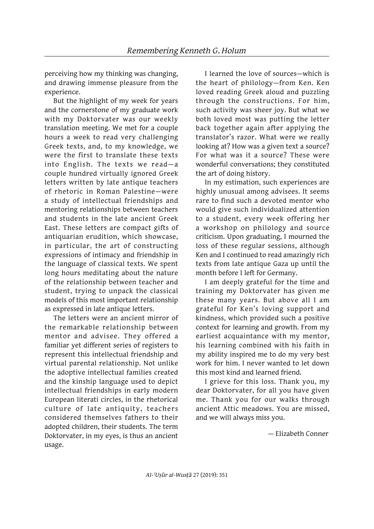perceiving how my thinking was changing, and drawing immense pleasure from the experience.

But the highlight of my week for years and the cornerstone of my graduate work with my Doktorvater was our weekly translation meeting. We met for a couple hours a week to read very challenging Greek texts, and, to my knowledge, we were the first to translate these texts into English. The texts we read—a couple hundred virtually ignored Greek letters written by late antique teachers of rhetoric in Roman Palestine—were a study of intellectual friendships and mentoring relationships between teachers and students in the late ancient Greek East. These letters are compact gifts of antiquarian erudition, which showcase, in particular, the art of constructing expressions of intimacy and friendship in the language of classical texts. We spent long hours meditating about the nature of the relationship between teacher and student, trying to unpack the classical models of this most important relationship as expressed in late antique letters.

The letters were an ancient mirror of the remarkable relationship between mentor and advisee. They offered a familiar yet different series of registers to represent this intellectual friendship and virtual parental relationship. Not unlike the adoptive intellectual families created and the kinship language used to depict intellectual friendships in early modern European literati circles, in the rhetorical culture of late antiquity, teachers considered themselves fathers to their adopted children, their students. The term Doktorvater, in my eyes, is thus an ancient usage.

I learned the love of sources—which is the heart of philology—from Ken. Ken loved reading Greek aloud and puzzling through the constructions. For him, such activity was sheer joy. But what we both loved most was putting the letter back together again after applying the translator's razor. What were we really looking at? How was a given text a source? For what was it a source? These were wonderful conversations; they constituted the art of doing history.

In my estimation, such experiences are highly unusual among advisees. It seems rare to find such a devoted mentor who would give such individualized attention to a student, every week offering her a workshop on philology and source criticism. Upon graduating, I mourned the loss of these regular sessions, although Ken and I continued to read amazingly rich texts from late antique Gaza up until the month before I left for Germany.

I am deeply grateful for the time and training my Doktorvater has given me these many years. But above all I am grateful for Ken's loving support and kindness, which provided such a positive context for learning and growth. From my earliest acquaintance with my mentor, his learning combined with his faith in my ability inspired me to do my very best work for him. I never wanted to let down this most kind and learned friend.

I grieve for this loss. Thank you, my dear Doktorvater, for all you have given me. Thank you for our walks through ancient Attic meadows. You are missed, and we will always miss you.

— Elizabeth Conner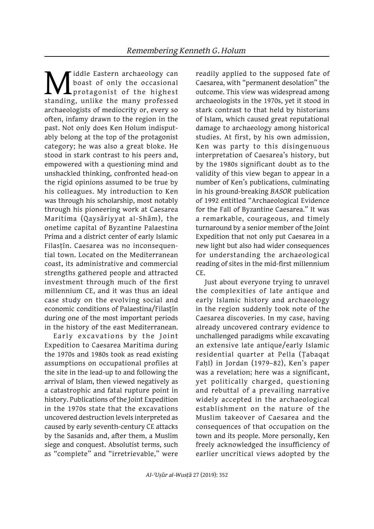**M**iddle Eastern archaeology can<br>boast of only the occasional<br>standing, unlike the many professed boast of only the occasional protagonist of the highest standing, unlike the many professed archaeologists of mediocrity or, every so often, infamy drawn to the region in the past. Not only does Ken Holum indisputably belong at the top of the protagonist category; he was also a great bloke. He stood in stark contrast to his peers and, empowered with a questioning mind and unshackled thinking, confronted head-on the rigid opinions assumed to be true by his colleagues. My introduction to Ken was through his scholarship, most notably through his pioneering work at Caesarea Maritima (Qaysāriyyat al-Shām), the onetime capital of Byzantine Palaestina Prima and a district center of early Islamic Filasṭīn. Caesarea was no inconsequential town. Located on the Mediterranean coast, its administrative and commercial strengths gathered people and attracted investment through much of the first millennium CE, and it was thus an ideal case study on the evolving social and economic conditions of Palaestina/Filastin during one of the most important periods in the history of the east Mediterranean.

Early excavations by the Joint Expedition to Caesarea Maritima during the 1970s and 1980s took as read existing assumptions on occupational profiles at the site in the lead-up to and following the arrival of Islam, then viewed negatively as a catastrophic and fatal rupture point in history. Publications of the Joint Expedition in the 1970s state that the excavations uncovered destruction levels interpreted as caused by early seventh-century CE attacks by the Sasanids and, after them, a Muslim siege and conquest. Absolutist terms, such as "complete" and "irretrievable," were

readily applied to the supposed fate of Caesarea, with "permanent desolation" the outcome. This view was widespread among archaeologists in the 1970s, yet it stood in stark contrast to that held by historians of Islam, which caused great reputational damage to archaeology among historical studies. At first, by his own admission, Ken was party to this disingenuous interpretation of Caesarea's history, but by the 1980s significant doubt as to the validity of this view began to appear in a number of Ken's publications, culminating in his ground-breaking *BASOR* publication of 1992 entitled "Archaeological Evidence for the Fall of Byzantine Caesarea." It was a remarkable, courageous, and timely turnaround by a senior member of the Joint Expedition that not only put Caesarea in a new light but also had wider consequences for understanding the archaeological reading of sites in the mid-first millennium CE.

Just about everyone trying to unravel the complexities of late antique and early Islamic history and archaeology in the region suddenly took note of the Caesarea discoveries. In my case, having already uncovered contrary evidence to unchallenged paradigms while excavating an extensive late antique/early Islamic residential quarter at Pella (Ṭabaqat Fahl) in Jordan (1979–82), Ken's paper was a revelation; here was a significant, yet politically charged, questioning and rebuttal of a prevailing narrative widely accepted in the archaeological establishment on the nature of the Muslim takeover of Caesarea and the consequences of that occupation on the town and its people. More personally, Ken freely acknowledged the insufficiency of earlier uncritical views adopted by the